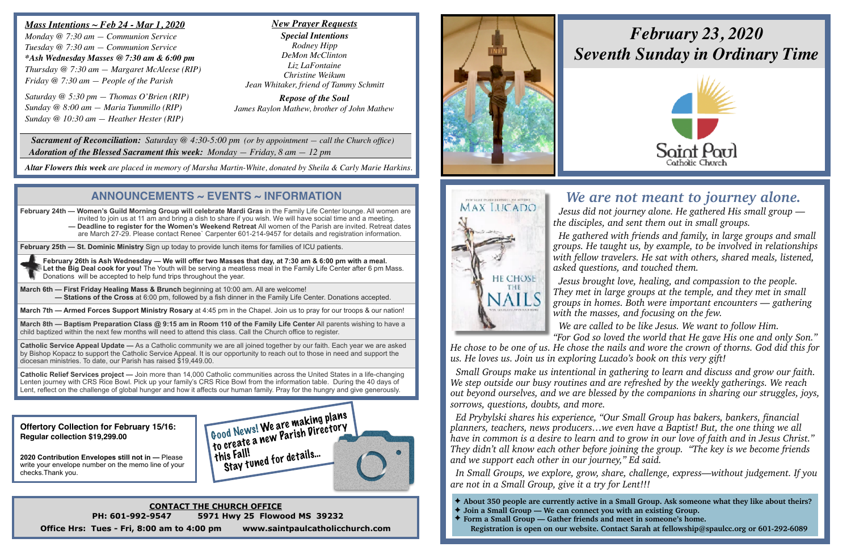## *We are not meant to journey alone.*

 *Jesus did not journey alone. He gathered His small group the disciples, and sent them out in small groups.* 

 *He gathered with friends and family, in large groups and small groups. He taught us, by example, to be involved in relationships with fellow travelers. He sat with others, shared meals, listened, asked questions, and touched them.* 

 *Jesus brought love, healing, and compassion to the people. They met in large groups at the temple, and they met in small groups in homes. Both were important encounters — gathering with the masses, and focusing on the few. We are called to be like Jesus. We want to follow Him.* 

*"For God so loved the world that He gave His one and only Son." He chose to be one of us. He chose the nails and wore the crown of thorns. God did this for us. He loves us. Join us in exploring Lucado's book on this very gift!* 

 *Small Groups make us intentional in gathering to learn and discuss and grow our faith. We step outside our busy routines and are refreshed by the weekly gatherings. We reach out beyond ourselves, and we are blessed by the companions in sharing our struggles, joys, sorrows, questions, doubts, and more.* 

 *Ed Prybylski shares his experience, "Our Small Group has bakers, bankers, financial planners, teachers, news producers…we even have a Baptist! But, the one thing we all have in common is a desire to learn and to grow in our love of faith and in Jesus Christ." They didn't all know each other before joining the group. "The key is we become friends and we support each other in our journey," Ed said.* 

 *In Small Groups, we explore, grow, share, challenge, express—without judgement. If you are not in a Small Group, give it a try for Lent!!!*

#### *Mass Intentions ~ Feb 24 - Mar 1, 2020*

*Monday @ 7:30 am — Communion Service Tuesday @ 7:30 am — Communion Service \*Ash Wednesday Masses @ 7:30 am & 6:00 pm Thursday @ 7:30 am — Margaret McAleese (RIP) Friday @ 7:30 am — People of the Parish*

*Saturday @ 5:30 pm — Thomas O'Brien (RIP) Sunday @ 8:00 am — Maria Tummillo (RIP) Sunday @ 10:30 am — Heather Hester (RIP)*

**March 8th — Baptism Preparation Class @ 9:15 am in Room 110 of the Family Life Center All parents wishing to have a** child baptized within the next few months will need to attend this class. Call the Church office to register.

 *Sacrament of Reconciliation: Saturday @ 4:30-5:00 pm (or by appointment — call the Church office) Adoration of the Blessed Sacrament this week: Monday — Friday, 8 am — 12 pm*

*Altar Flowers this week are placed in memory of Marsha Martin-White, donated by Sheila & Carly Marie Harkins.*

**Offertory Collection for February 15/16: Regular collection \$19,299.00**

**2020 Contribution Envelopes still not in —** Please write your envelope number on the memo line of your checks.Thank you.

> **CONTACT THE CHURCH OFFICE PH: 601-992-9547 5971 Hwy 25 Flowood MS 39232 Office Hrs: Tues - Fri, 8:00 am to 4:00 pm www.saintpaulcatholicchurch.com**



**MAX LUCADO** 

**HE CHOSE** THE **NAILS** 

#### *New Prayer Requests*

*Special Intentions Rodney Hipp DeMon McClinton Liz LaFontaine Christine Weikum Jean Whitaker, friend of Tammy Schmitt*

*Repose of the Soul James Raylon Mathew, brother of John Mathew*

## **ANNOUNCEMENTS ~ EVENTS ~ INFORMATION**

**February 24th — Women's Guild Morning Group will celebrate Mardi Gras** in the Family Life Center lounge. All women are invited to join us at 11 am and bring a dish to share if you wish. We will have social time and a meeting.  **— Deadline to register for the Women's Weekend Retreat** All women of the Parish are invited. Retreat dates are March 27-29. Please contact Renee` Carpenter 601-214-9457 for details and registration information.

**February 25th — St. Dominic Ministry** Sign up today to provide lunch items for families of ICU patients.

**February 26th is Ash Wednesday — We will offer two Masses that day, at 7:30 am & 6:00 pm with a meal. Let the Big Deal cook for you!** The Youth will be serving a meatless meal in the Family Life Center after 6 pm Mass. Donations will be accepted to help fund trips throughout the year.

**March 6th — First Friday Healing Mass & Brunch** beginning at 10:00 am. All are welcome! **— Stations of the Cross** at 6:00 pm, followed by a fish dinner in the Family Life Center. Donations accepted.

**March 7th — Armed Forces Support Ministry Rosary** at 4:45 pm in the Chapel. Join us to pray for our troops & our nation!

**Catholic Service Appeal Update —** As a Catholic community we are all joined together by our faith. Each year we are asked by Bishop Kopacz to support the Catholic Service Appeal. It is our opportunity to reach out to those in need and support the diocesan ministries. To date, our Parish has raised \$19,449.00.

**Catholic Relief Services project —** Join more than 14,000 Catholic communities across the United States in a life-changing Lenten journey with CRS Rice Bowl. Pick up your family's CRS Rice Bowl from the information table. During the 40 days of Lent, reflect on the challenge of global hunger and how it affects our human family. Pray for the hungry and give generously.

✦ **About 350 people are currently active in a Small Group. Ask someone what they like about theirs?** 

- 
- ✦ **Join a Small Group We can connect you with an existing Group.**
- ✦ **Form a Small Group Gather friends and meet in someone's home.**

**Registration is open on our website. Contact Sarah at fellowship@spaulcc.org or 601-292-6089**



# *February 23, 2020 Seventh Sunday in Ordinary Time*